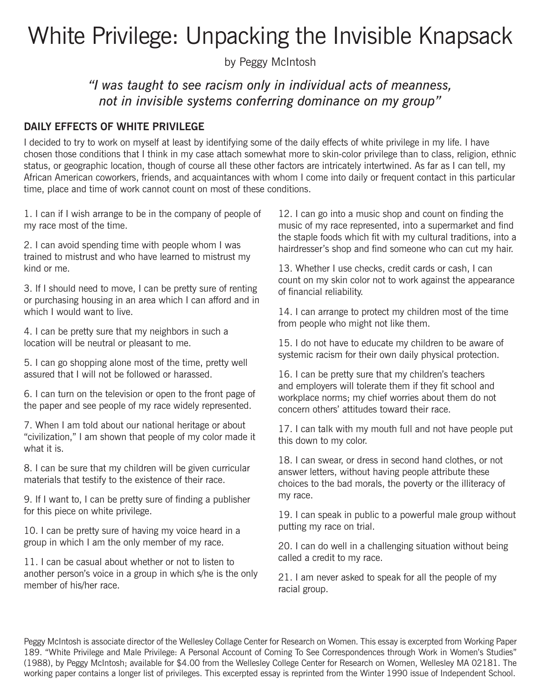# White Privilege: Unpacking the Invisible Knapsack

by Peggy McIntosh

# *"I was taught to see racism only in individual acts of meanness, not in invisible systems conferring dominance on my group"*

# **DAILY EFFECTS OF WHITE PRIVILEGE**

I decided to try to work on myself at least by identifying some of the daily effects of white privilege in my life. I have chosen those conditions that I think in my case attach somewhat more to skin-color privilege than to class, religion, ethnic status, or geographic location, though of course all these other factors are intricately intertwined. As far as I can tell, my African American coworkers, friends, and acquaintances with whom I come into daily or frequent contact in this particular time, place and time of work cannot count on most of these conditions.

1. I can if I wish arrange to be in the company of people of my race most of the time.

2. I can avoid spending time with people whom I was trained to mistrust and who have learned to mistrust my kind or me.

3. If I should need to move, I can be pretty sure of renting or purchasing housing in an area which I can afford and in which I would want to live.

4. I can be pretty sure that my neighbors in such a location will be neutral or pleasant to me.

5. I can go shopping alone most of the time, pretty well assured that I will not be followed or harassed.

6. I can turn on the television or open to the front page of the paper and see people of my race widely represented.

7. When I am told about our national heritage or about "civilization," I am shown that people of my color made it what it is.

8. I can be sure that my children will be given curricular materials that testify to the existence of their race.

9. If I want to, I can be pretty sure of finding a publisher for this piece on white privilege.

10. I can be pretty sure of having my voice heard in a group in which I am the only member of my race.

11. I can be casual about whether or not to listen to another person's voice in a group in which s/he is the only member of his/her race.

12. I can go into a music shop and count on finding the music of my race represented, into a supermarket and find the staple foods which fit with my cultural traditions, into a hairdresser's shop and find someone who can cut my hair.

13. Whether I use checks, credit cards or cash, I can count on my skin color not to work against the appearance of financial reliability.

14. I can arrange to protect my children most of the time from people who might not like them.

15. I do not have to educate my children to be aware of systemic racism for their own daily physical protection.

16. I can be pretty sure that my children's teachers and employers will tolerate them if they fit school and workplace norms; my chief worries about them do not concern others' attitudes toward their race.

17. I can talk with my mouth full and not have people put this down to my color.

18. I can swear, or dress in second hand clothes, or not answer letters, without having people attribute these choices to the bad morals, the poverty or the illiteracy of my race.

19. I can speak in public to a powerful male group without putting my race on trial.

20. I can do well in a challenging situation without being called a credit to my race.

21. I am never asked to speak for all the people of my racial group.

Peggy McIntosh is associate director of the Wellesley Collage Center for Research on Women. This essay is excerpted from Working Paper 189. "White Privilege and Male Privilege: A Personal Account of Coming To See Correspondences through Work in Women's Studies" (1988), by Peggy McIntosh; available for \$4.00 from the Wellesley College Center for Research on Women, Wellesley MA 02181. The working paper contains a longer list of privileges. This excerpted essay is reprinted from the Winter 1990 issue of Independent School.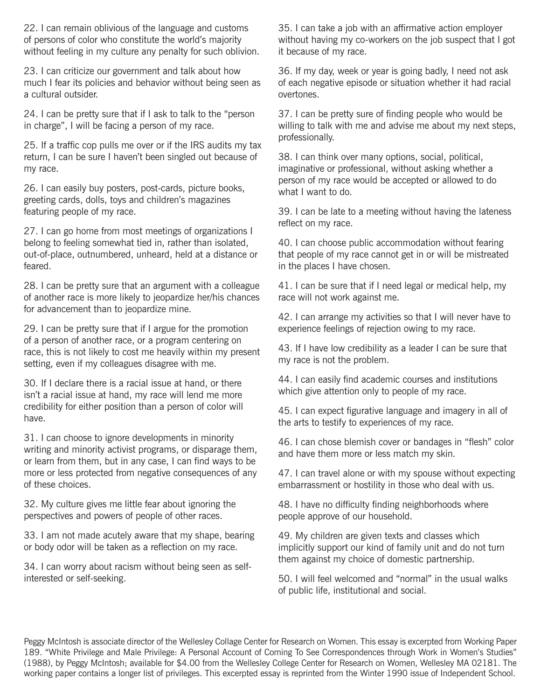22. I can remain oblivious of the language and customs of persons of color who constitute the world's majority without feeling in my culture any penalty for such oblivion.

23. I can criticize our government and talk about how much I fear its policies and behavior without being seen as a cultural outsider.

24. I can be pretty sure that if I ask to talk to the "person in charge", I will be facing a person of my race.

25. If a traffic cop pulls me over or if the IRS audits my tax return, I can be sure I haven't been singled out because of my race.

26. I can easily buy posters, post-cards, picture books, greeting cards, dolls, toys and children's magazines featuring people of my race.

27. I can go home from most meetings of organizations I belong to feeling somewhat tied in, rather than isolated, out-of-place, outnumbered, unheard, held at a distance or feared.

28. I can be pretty sure that an argument with a colleague of another race is more likely to jeopardize her/his chances for advancement than to jeopardize mine.

29. I can be pretty sure that if I argue for the promotion of a person of another race, or a program centering on race, this is not likely to cost me heavily within my present setting, even if my colleagues disagree with me.

30. If I declare there is a racial issue at hand, or there isn't a racial issue at hand, my race will lend me more credibility for either position than a person of color will have.

31. I can choose to ignore developments in minority writing and minority activist programs, or disparage them, or learn from them, but in any case, I can find ways to be more or less protected from negative consequences of any of these choices.

32. My culture gives me little fear about ignoring the perspectives and powers of people of other races.

33. I am not made acutely aware that my shape, bearing or body odor will be taken as a reflection on my race.

34. I can worry about racism without being seen as selfinterested or self-seeking.

35. I can take a job with an affirmative action employer without having my co-workers on the job suspect that I got it because of my race.

36. If my day, week or year is going badly, I need not ask of each negative episode or situation whether it had racial overtones.

37. I can be pretty sure of finding people who would be willing to talk with me and advise me about my next steps, professionally.

38. I can think over many options, social, political, imaginative or professional, without asking whether a person of my race would be accepted or allowed to do what I want to do.

39. I can be late to a meeting without having the lateness reflect on my race.

40. I can choose public accommodation without fearing that people of my race cannot get in or will be mistreated in the places I have chosen.

41. I can be sure that if I need legal or medical help, my race will not work against me.

42. I can arrange my activities so that I will never have to experience feelings of rejection owing to my race.

43. If I have low credibility as a leader I can be sure that my race is not the problem.

44. I can easily find academic courses and institutions which give attention only to people of my race.

45. I can expect figurative language and imagery in all of the arts to testify to experiences of my race.

46. I can chose blemish cover or bandages in "flesh" color and have them more or less match my skin.

47. I can travel alone or with my spouse without expecting embarrassment or hostility in those who deal with us.

48. I have no difficulty finding neighborhoods where people approve of our household.

49. My children are given texts and classes which implicitly support our kind of family unit and do not turn them against my choice of domestic partnership.

50. I will feel welcomed and "normal" in the usual walks of public life, institutional and social.

Peggy McIntosh is associate director of the Wellesley Collage Center for Research on Women. This essay is excerpted from Working Paper 189. "White Privilege and Male Privilege: A Personal Account of Coming To See Correspondences through Work in Women's Studies" (1988), by Peggy McIntosh; available for \$4.00 from the Wellesley College Center for Research on Women, Wellesley MA 02181. The working paper contains a longer list of privileges. This excerpted essay is reprinted from the Winter 1990 issue of Independent School.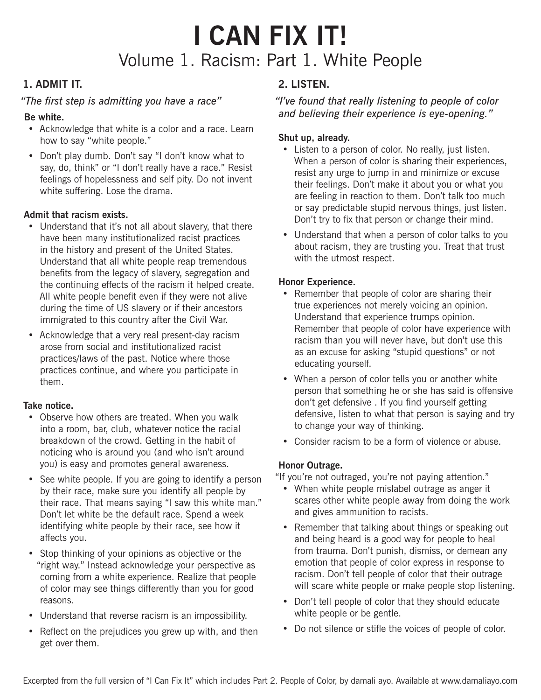# **I CAN FIX IT!** Volume 1. Racism: Part 1. White People

# **1. ADMIT IT.**

#### *"The fi rst step is admitting you have a race"*

#### **Be white.**

- Acknowledge that white is a color and a race. Learn how to say "white people."
- Don't play dumb. Don't say "I don't know what to say, do, think" or "I don't really have a race." Resist feelings of hopelessness and self pity. Do not invent white suffering. Lose the drama.

#### **Admit that racism exists.**

- Understand that it's not all about slavery, that there have been many institutionalized racist practices in the history and present of the United States. Understand that all white people reap tremendous benefits from the legacy of slavery, segregation and the continuing effects of the racism it helped create. All white people benefit even if they were not alive during the time of US slavery or if their ancestors immigrated to this country after the Civil War.
- Acknowledge that a very real present-day racism arose from social and institutionalized racist practices/laws of the past. Notice where those practices continue, and where you participate in them.

#### **Take notice.**

- Observe how others are treated. When you walk into a room, bar, club, whatever notice the racial breakdown of the crowd. Getting in the habit of noticing who is around you (and who isn't around you) is easy and promotes general awareness.
- See white people. If you are going to identify a person by their race, make sure you identify all people by their race. That means saying "I saw this white man." Don't let white be the default race. Spend a week identifying white people by their race, see how it affects you.
- Stop thinking of your opinions as objective or the "right way." Instead acknowledge your perspective as coming from a white experience. Realize that people of color may see things differently than you for good reasons.
- Understand that reverse racism is an impossibility.
- Reflect on the prejudices you grew up with, and then get over them.

### **2. LISTEN.**

#### *"I've found that really listening to people of color and believing their experience is eye-opening."*

#### **Shut up, already.**

- Listen to a person of color. No really, just listen. When a person of color is sharing their experiences, resist any urge to jump in and minimize or excuse their feelings. Don't make it about you or what you are feeling in reaction to them. Don't talk too much or say predictable stupid nervous things, just listen. Don't try to fix that person or change their mind.
- Understand that when a person of color talks to you about racism, they are trusting you. Treat that trust with the utmost respect.

#### **Honor Experience.**

- Remember that people of color are sharing their true experiences not merely voicing an opinion. Understand that experience trumps opinion. Remember that people of color have experience with racism than you will never have, but don't use this as an excuse for asking "stupid questions" or not educating yourself.
- When a person of color tells you or another white person that something he or she has said is offensive don't get defensive . If you find yourself getting defensive, listen to what that person is saying and try to change your way of thinking.
- Consider racism to be a form of violence or abuse.

#### **Honor Outrage.**

"If you're not outraged, you're not paying attention."

- When white people mislabel outrage as anger it scares other white people away from doing the work and gives ammunition to racists.
- Remember that talking about things or speaking out and being heard is a good way for people to heal from trauma. Don't punish, dismiss, or demean any emotion that people of color express in response to racism. Don't tell people of color that their outrage will scare white people or make people stop listening.
- Don't tell people of color that they should educate white people or be gentle.
- Do not silence or stifle the voices of people of color.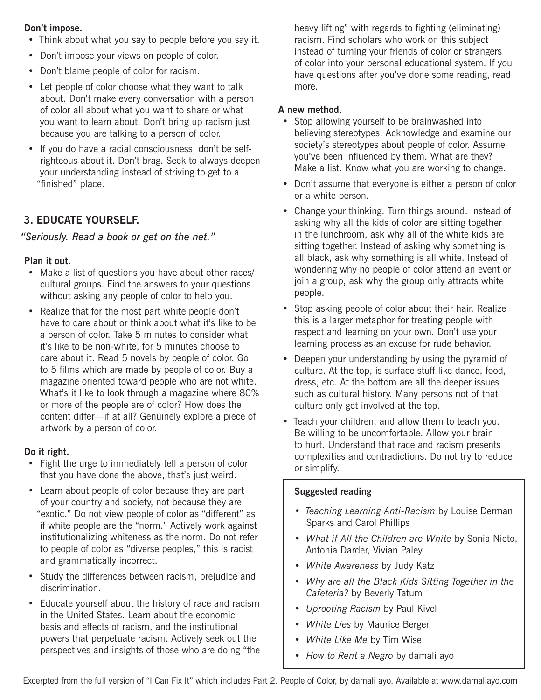#### **Don't impose.**

- Think about what you say to people before you say it.
- Don't impose your views on people of color.
- Don't blame people of color for racism.
- Let people of color choose what they want to talk about. Don't make every conversation with a person of color all about what you want to share or what you want to learn about. Don't bring up racism just because you are talking to a person of color.
- If you do have a racial consciousness, don't be selfrighteous about it. Don't brag. Seek to always deepen your understanding instead of striving to get to a "finished" place.

# **3. EDUCATE YOURSELF.**

#### *"Seriously. Read a book or get on the net."*

#### **Plan it out.**

- Make a list of questions you have about other races/ cultural groups. Find the answers to your questions without asking any people of color to help you.
- Realize that for the most part white people don't have to care about or think about what it's like to be a person of color. Take 5 minutes to consider what it's like to be non-white, for 5 minutes choose to care about it. Read 5 novels by people of color. Go to 5 films which are made by people of color. Buy a magazine oriented toward people who are not white. What's it like to look through a magazine where 80% or more of the people are of color? How does the content differ—if at all? Genuinely explore a piece of artwork by a person of color.

#### **Do it right.**

- Fight the urge to immediately tell a person of color that you have done the above, that's just weird.
- Learn about people of color because they are part of your country and society, not because they are "exotic." Do not view people of color as "different" as if white people are the "norm." Actively work against institutionalizing whiteness as the norm. Do not refer to people of color as "diverse peoples," this is racist and grammatically incorrect.
- Study the differences between racism, prejudice and discrimination.
- Educate yourself about the history of race and racism in the United States. Learn about the economic basis and effects of racism, and the institutional powers that perpetuate racism. Actively seek out the perspectives and insights of those who are doing "the

heavy lifting" with regards to fighting (eliminating) racism. Find scholars who work on this subject instead of turning your friends of color or strangers of color into your personal educational system. If you have questions after you've done some reading, read more.

#### **A new method.**

- Stop allowing yourself to be brainwashed into believing stereotypes. Acknowledge and examine our society's stereotypes about people of color. Assume you've been influenced by them. What are they? Make a list. Know what you are working to change.
- Don't assume that everyone is either a person of color or a white person.
- Change your thinking. Turn things around. Instead of asking why all the kids of color are sitting together in the lunchroom, ask why all of the white kids are sitting together. Instead of asking why something is all black, ask why something is all white. Instead of wondering why no people of color attend an event or join a group, ask why the group only attracts white people.
- Stop asking people of color about their hair. Realize this is a larger metaphor for treating people with respect and learning on your own. Don't use your learning process as an excuse for rude behavior.
- Deepen your understanding by using the pyramid of culture. At the top, is surface stuff like dance, food, dress, etc. At the bottom are all the deeper issues such as cultural history. Many persons not of that culture only get involved at the top.
- Teach your children, and allow them to teach you. Be willing to be uncomfortable. Allow your brain to hurt. Understand that race and racism presents complexities and contradictions. Do not try to reduce or simplify.

#### **Suggested reading**

- *Teaching Learning Anti-Racism* by Louise Derman Sparks and Carol Phillips
- *What if All the Children are White* by Sonia Nieto, Antonia Darder, Vivian Paley
- *White Awareness* by Judy Katz
- *Why are all the Black Kids Sitting Together in the Cafeteria?* by Beverly Tatum
- *Uprooting Racism* by Paul Kivel
- *White Lies* by Maurice Berger
- *White Like Me* by Tim Wise
- *How to Rent a Negro* by damali ayo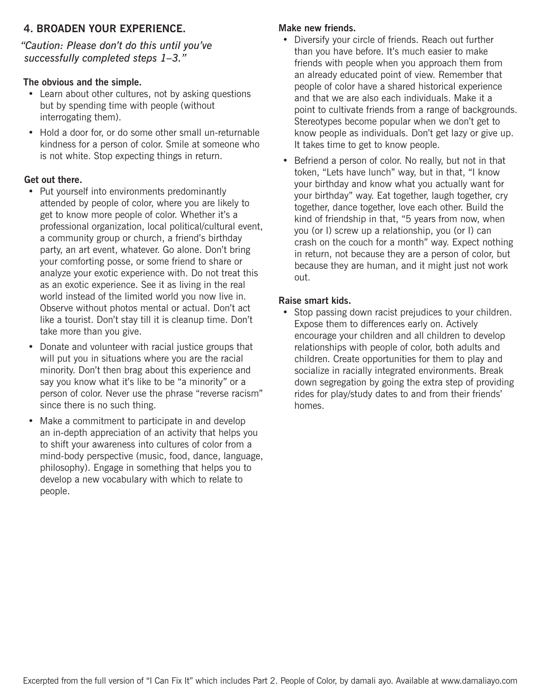# **4. BROADEN YOUR EXPERIENCE.**

*"Caution: Please don't do this until you've successfully completed steps 1–3."*

#### **The obvious and the simple.**

- Learn about other cultures, not by asking questions but by spending time with people (without interrogating them).
- Hold a door for, or do some other small un-returnable kindness for a person of color. Smile at someone who is not white. Stop expecting things in return.

#### **Get out there.**

- Put yourself into environments predominantly attended by people of color, where you are likely to get to know more people of color. Whether it's a professional organization, local political/cultural event, a community group or church, a friend's birthday party, an art event, whatever. Go alone. Don't bring your comforting posse, or some friend to share or analyze your exotic experience with. Do not treat this as an exotic experience. See it as living in the real world instead of the limited world you now live in. Observe without photos mental or actual. Don't act like a tourist. Don't stay till it is cleanup time. Don't take more than you give.
- Donate and volunteer with racial justice groups that will put you in situations where you are the racial minority. Don't then brag about this experience and say you know what it's like to be "a minority" or a person of color. Never use the phrase "reverse racism" since there is no such thing.
- Make a commitment to participate in and develop an in-depth appreciation of an activity that helps you to shift your awareness into cultures of color from a mind-body perspective (music, food, dance, language, philosophy). Engage in something that helps you to develop a new vocabulary with which to relate to people.

#### **Make new friends.**

- Diversify your circle of friends. Reach out further than you have before. It's much easier to make friends with people when you approach them from an already educated point of view. Remember that people of color have a shared historical experience and that we are also each individuals. Make it a point to cultivate friends from a range of backgrounds. Stereotypes become popular when we don't get to know people as individuals. Don't get lazy or give up. It takes time to get to know people.
- Befriend a person of color. No really, but not in that token, "Lets have lunch" way, but in that, "I know your birthday and know what you actually want for your birthday" way. Eat together, laugh together, cry together, dance together, love each other. Build the kind of friendship in that, "5 years from now, when you (or I) screw up a relationship, you (or I) can crash on the couch for a month" way. Expect nothing in return, not because they are a person of color, but because they are human, and it might just not work out.

#### **Raise smart kids.**

• Stop passing down racist prejudices to your children. Expose them to differences early on. Actively encourage your children and all children to develop relationships with people of color, both adults and children. Create opportunities for them to play and socialize in racially integrated environments. Break down segregation by going the extra step of providing rides for play/study dates to and from their friends' homes.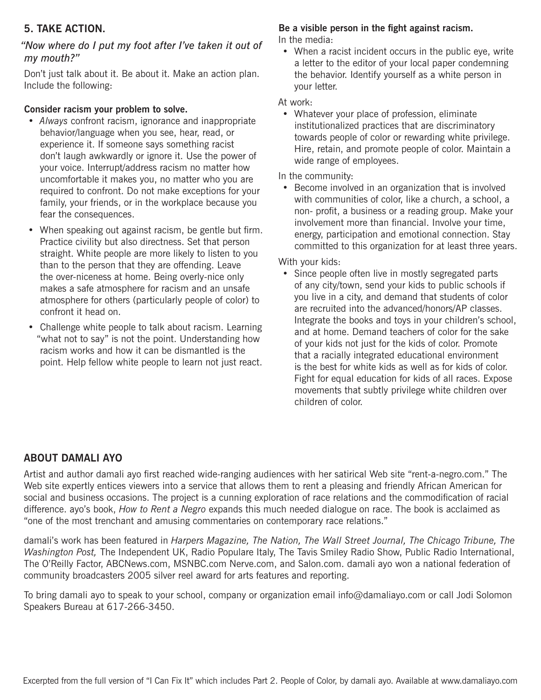# **5. TAKE ACTION.**

#### *"Now where do I put my foot after I've taken it out of my mouth?"*

Don't just talk about it. Be about it. Make an action plan. Include the following:

#### **Consider racism your problem to solve.**

- *Always* confront racism, ignorance and inappropriate behavior/language when you see, hear, read, or experience it. If someone says something racist don't laugh awkwardly or ignore it. Use the power of your voice. Interrupt/address racism no matter how uncomfortable it makes you, no matter who you are required to confront. Do not make exceptions for your family, your friends, or in the workplace because you fear the consequences.
- When speaking out against racism, be gentle but firm. Practice civility but also directness. Set that person straight. White people are more likely to listen to you than to the person that they are offending. Leave the over-niceness at home. Being overly-nice only makes a safe atmosphere for racism and an unsafe atmosphere for others (particularly people of color) to confront it head on.
- Challenge white people to talk about racism. Learning "what not to say" is not the point. Understanding how racism works and how it can be dismantled is the point. Help fellow white people to learn not just react.

# Be a visible person in the fight against racism.

In the media:

• When a racist incident occurs in the public eye, write a letter to the editor of your local paper condemning the behavior. Identify yourself as a white person in your letter.

#### At work:

• Whatever your place of profession, eliminate institutionalized practices that are discriminatory towards people of color or rewarding white privilege. Hire, retain, and promote people of color. Maintain a wide range of employees.

In the community:

• Become involved in an organization that is involved with communities of color, like a church, a school, a non- profit, a business or a reading group. Make your involvement more than financial. Involve your time, energy, participation and emotional connection. Stay committed to this organization for at least three years.

With your kids:

• Since people often live in mostly segregated parts of any city/town, send your kids to public schools if you live in a city, and demand that students of color are recruited into the advanced/honors/AP classes. Integrate the books and toys in your children's school, and at home. Demand teachers of color for the sake of your kids not just for the kids of color. Promote that a racially integrated educational environment is the best for white kids as well as for kids of color. Fight for equal education for kids of all races. Expose movements that subtly privilege white children over children of color.

### **ABOUT DAMALI AYO**

Artist and author damali ayo first reached wide-ranging audiences with her satirical Web site "rent-a-negro.com." The Web site expertly entices viewers into a service that allows them to rent a pleasing and friendly African American for social and business occasions. The project is a cunning exploration of race relations and the commodification of racial difference. ayo's book, *How to Rent a Negro* expands this much needed dialogue on race. The book is acclaimed as "one of the most trenchant and amusing commentaries on contemporary race relations."

damali's work has been featured in *Harpers Magazine, The Nation, The Wall Street Journal, The Chicago Tribune, The Washington Post,* The Independent UK, Radio Populare Italy, The Tavis Smiley Radio Show, Public Radio International, The O'Reilly Factor, ABCNews.com, MSNBC.com Nerve.com, and Salon.com. damali ayo won a national federation of community broadcasters 2005 silver reel award for arts features and reporting.

To bring damali ayo to speak to your school, company or organization email info@damaliayo.com or call Jodi Solomon Speakers Bureau at 617-266-3450.